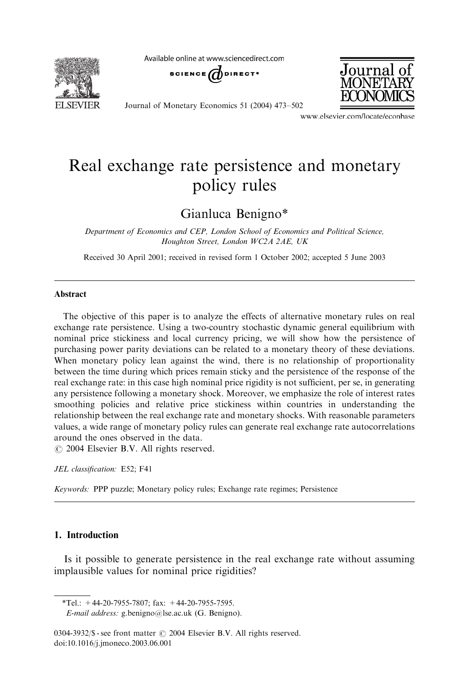**ELSEVIER** 

Available online at www.sciencedirect.com





Journal of Monetary Economics 51 (2004) 473–502

www.elsevier.com/locate/econbase

## Real exchange rate persistence and monetary policy rules

Gianluca Benigno\*

Department of Economics and CEP, London School of Economics and Political Science, Houghton Street, London WC2A 2AE, UK

Received 30 April 2001; received in revised form 1 October 2002; accepted 5 June 2003

## Abstract

The objective of this paper is to analyze the effects of alternative monetary rules on real exchange rate persistence. Using a two-country stochastic dynamic general equilibrium with nominal price stickiness and local currency pricing, we will show how the persistence of purchasing power parity deviations can be related to a monetary theory of these deviations. When monetary policy lean against the wind, there is no relationship of proportionality between the time during which prices remain sticky and the persistence of the response of the real exchange rate: in this case high nominal price rigidity is not sufficient, per se, in generating any persistence following a monetary shock. Moreover, we emphasize the role of interest rates smoothing policies and relative price stickiness within countries in understanding the relationship between the real exchange rate and monetary shocks. With reasonable parameters values, a wide range of monetary policy rules can generate real exchange rate autocorrelations around the ones observed in the data.

 $\odot$  2004 Elsevier B.V. All rights reserved.

JEL classification: E52; F41

Keywords: PPP puzzle; Monetary policy rules; Exchange rate regimes; Persistence

## 1. Introduction

Is it possible to generate persistence in the real exchange rate without assuming implausible values for nominal price rigidities?

<sup>\*</sup>Tel.:  $+44-20-7955-7807$ ; fax:  $+44-20-7955-7595$ .

E-mail address: g.benigno@lse.ac.uk (G. Benigno).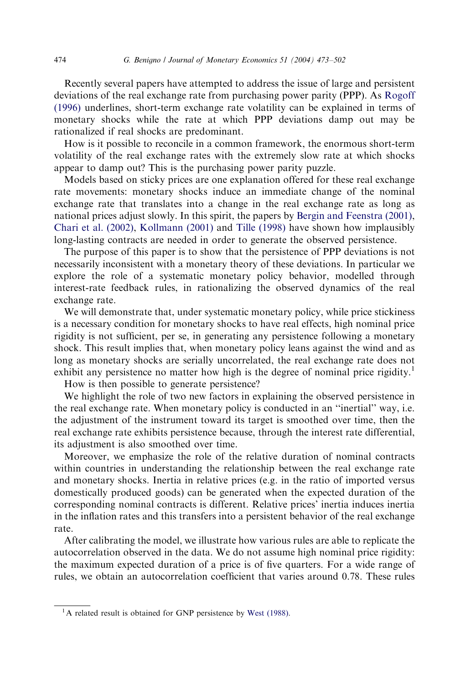Recently several papers have attempted to address the issue of large and persistent deviations of the real exchange rate from purchasing power parity (PPP). As [Rogoff](#page--1-0) [\(1996\)](#page--1-0) underlines, short-term exchange rate volatility can be explained in terms of monetary shocks while the rate at which PPP deviations dampout may be rationalized if real shocks are predominant.

How is it possible to reconcile in a common framework, the enormous short-term volatility of the real exchange rates with the extremely slow rate at which shocks appear to damp out? This is the purchasing power parity puzzle.

Models based on sticky prices are one explanation offered for these real exchange rate movements: monetary shocks induce an immediate change of the nominal exchange rate that translates into a change in the real exchange rate as long as national prices adjust slowly. In this spirit, the papers by [Bergin and Feenstra \(2001\),](#page--1-0) [Chari et al. \(2002\),](#page--1-0) [Kollmann \(2001\)](#page--1-0) and [Tille \(1998\)](#page--1-0) have shown how implausibly long-lasting contracts are needed in order to generate the observed persistence.

The purpose of this paper is to show that the persistence of PPP deviations is not necessarily inconsistent with a monetary theory of these deviations. In particular we explore the role of a systematic monetary policy behavior, modelled through interest-rate feedback rules, in rationalizing the observed dynamics of the real exchange rate.

We will demonstrate that, under systematic monetary policy, while price stickiness is a necessary condition for monetary shocks to have real effects, high nominal price rigidity is not sufficient, per se, in generating any persistence following a monetary shock. This result implies that, when monetary policy leans against the wind and as long as monetary shocks are serially uncorrelated, the real exchange rate does not exhibit any persistence no matter how high is the degree of nominal price rigidity.<sup>1</sup>

How is then possible to generate persistence?

We highlight the role of two new factors in explaining the observed persistence in the real exchange rate. When monetary policy is conducted in an ''inertial'' way, i.e. the adjustment of the instrument toward its target is smoothed over time, then the real exchange rate exhibits persistence because, through the interest rate differential, its adjustment is also smoothed over time.

Moreover, we emphasize the role of the relative duration of nominal contracts within countries in understanding the relationship between the real exchange rate and monetary shocks. Inertia in relative prices (e.g. in the ratio of imported versus domestically produced goods) can be generated when the expected duration of the corresponding nominal contracts is different. Relative prices' inertia induces inertia in the inflation rates and this transfers into a persistent behavior of the real exchange rate.

After calibrating the model, we illustrate how various rules are able to replicate the autocorrelation observed in the data. We do not assume high nominal price rigidity: the maximum expected duration of a price is of five quarters. For a wide range of rules, we obtain an autocorrelation coefficient that varies around 0.78. These rules

<sup>&</sup>lt;sup>1</sup>A related result is obtained for GNP persistence by [West \(1988\).](#page--1-0)